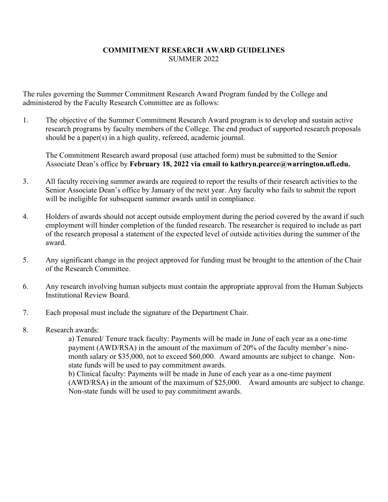## **COMMITMENT RESEARCH AWARD GUIDELINES** SUMMER 2022

The rules governing the Summer Commitment Research Award Program funded by the College and administered by the Faculty Research Committee are as follows:

1. The objective of the Summer Commitment Research Award program is to develop and sustain active research programs by faculty members of the College. The end product of supported research proposals should be a paper(s) in a high quality, refereed, academic journal.

The Commitment Research award proposal (use attached form) must be submitted to the Senior Associate Dean's office by **February 18, 2022 via email to kathryn.pearce@warrington.ufl.edu.**

- 3. All faculty receiving summer awards are required to report the results of their research activities to the Senior Associate Dean's office by January of the next year. Any faculty who fails to submit the report will be ineligible for subsequent summer awards until in compliance.
- 4. Holders of awards should not accept outside employment during the period covered by the award if such employment will hinder completion of the funded research. The researcher is required to include as part of the research proposal a statement of the expected level of outside activities during the summer of the award.
- 5. Any significant change in the project approved for funding must be brought to the attention of the Chair of the Research Committee.
- 6. Any research involving human subjects must contain the appropriate approval from the Human Subjects Institutional Review Board.
- 7. Each proposal must include the signature of the Department Chair.
- 8. Research awards:

a) Tenured/ Tenure track faculty: Payments will be made in June of each year as a one-time payment (AWD/RSA) in the amount of the maximum of 20% of the faculty member's ninemonth salary or \$35,000, not to exceed \$60,000. Award amounts are subject to change. Nonstate funds will be used to pay commitment awards. b) Clinical faculty: Payments will be made in June of each year as a one-time payment (AWD/RSA) in the amount of the maximum of \$25,000. Award amounts are subject to change. Non-state funds will be used to pay commitment awards.